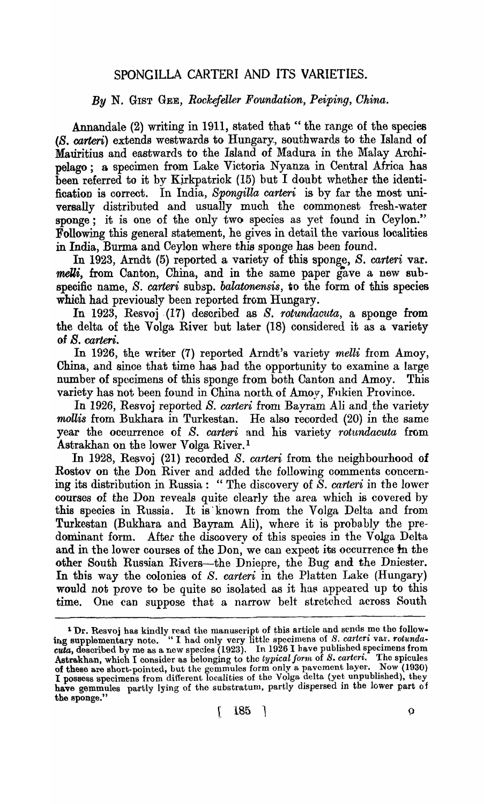## SPONGILLA CARTERI AND ITS VARIETIES.

## *By* N. GIST GEE, *Rockefeller Foundation, Peiping, Ohina.*

Annandale (2) writing in 1911, stated that " the range of the species (8. carteri) extends westwards to Hungary, southwards to the Island of MaUritius and eastwards to the Island of Madura in the Malay Archipelago; a specimen from Lake Victoria Nyanza in Central Africa has been referred to it by Kirkpatrick (15) but I doubt whether the identification is correct. In India, Spongilla carteri is by far the most universally distributed and usually much the commonest fresh-water sponge; it is one of the only two species as yet found in Ceylon." Following this general statement, he gives in detail the various localities in India, Burma and Ceylon where this sponge has been found.

In 1923, Arndt (5) reported a variety of this sponge, *S. carteri* var. melli, from Canton, China, and in the same paper gave a new subspecific name, *S. carteri* subsp. *balatonensis,* to the form of this species which had previously been reported from Hungary.

In 1923, Resvoj (17) described as *S. rotundacuta*, a sponge from the delta of the Volga River but later (18) considered it as a variety of *S. carteri.* 

In 1926, the writer (7) reported Arndt's variety *melli* from Amoy, China, and since that time has bad the opportunity to examine a large number of specimens of this sponge from both Canton and Amoy. This variety has not been found in China north. of Amoy, Fnkien Province.

In 1926, Resvoj reported S. *carteri* from Bayram Ali and the variety *mollis* from Bukhara in Turkestan. He also recorded (20) in the same year the occurrence of *S. carteri* and his variety *rotundacuta* from Astrakhan on the lower Volga River.l

In 1928, Resvoj (21) recorded *S. carteri* from the neighbourhood of Rostov on the Don River and added the following comments concerning its distribution in Russia: "The discovery of S. *carteri* in the lower courses of the Don reveals quite clearly the area which is covered by this species in Russia. It is known from the Volga Delta and from Turkestan (Bukhara and Bayram Ali), where it is probably the predominant form. After the disoovery of this speoies in the Volga Delta and in the lower courses of the Don, we can expect its occurrence in the other South Russian Rivers-the Dniepre, the Bug and the Dniester. In this way the colonies of S. *carteri* in the Platten Lake (Hungary) would not prove to be quite so isolated as it has appeared up to this time. One can suppose that a narrow belt stretched across South

<sup>&</sup>lt;sup>1</sup> Dr. Resvoj has kindly read the manuscript of this article and sends me the follow-<br>ing supplementary note. "I had only very little specimens of *S. carteri* var. *rotundacuta,* described by me as a new species  $(1923)$ . In 1926 I have published specimens from Astrakhan, which I consider as belonging to the *typical form* of *S. carteri.* The spicules of these are short-pointed, but the gemmules form only a pavement layer. Now (1930) I possess specimens from different localities of the Volga delta (yet unpublished), they have gemmules partly lying of the substratum, partly dispersed in the lower part of the sponge.'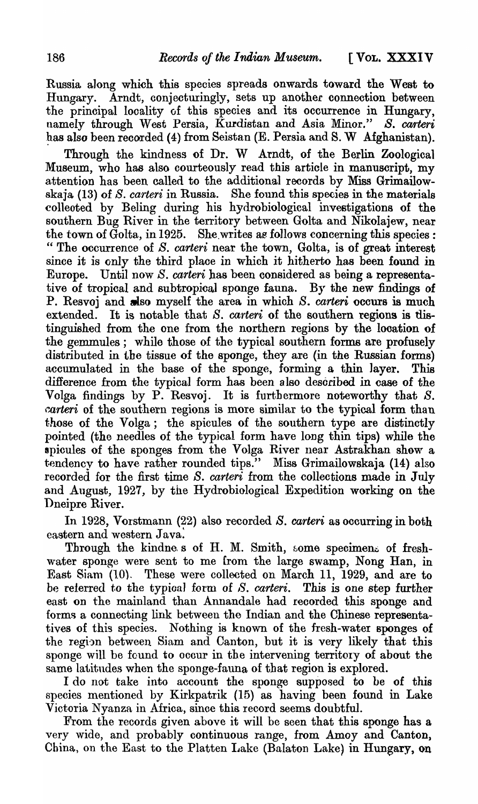Russia along which this species spreads onwards toward the West to Hungary. Arndt, conjecturingly, sets up another connection between the principal looality of this species and its occurrence in Hungary, namely through West Persia, Kurdistan and Asia Minor." *S. carteri* has also been recorded (4) from Seistan (E. Persia and S. W Afghanistan).

Through the kindness of Dr. W Arndt, of the Berlin Zoological Museum, who has also courteously read this article in manuscript, my attention has been called to the additional records by Miss Grimailowskaja (13) of S. *carteri* in Russia. She found this species in the materials colleoted by Beling during his hydrobiological investigations of the southern Bug River in the territory between Golta and Nikolajew, near the town of  $\bar{\text{Gold}}$ , in 1925. She writes as follows concerning this species: " The occurrence of *S. caneri* near the town, Golta, is of great interest since it is only the third place in which it hitherto has been found in Europe. Until now *S. carteri* has been considered as being a representative of tropical and subtropical sponge fauna. By the new findings of P. Resvoj and slso myself the area in which *S. carteri* occurs is much extended. It is notable that S. *carteri* of the southern regions is distinguished from the one from the northern regions by the location of the gemmules; while those of the typical southern forms are profusely distributed in the tissue of the sponge, they are (in the Russian forms) accumulated in the base of the sponge, forming a thin 1ayer. This difference from the typical form has been also described in case of the Volga findings by P. Resvoj. It is furthermore noteworthy that *S. carteri* of the southern regions is more similar to the typical form than those of the Volga; the spicules of the southern type are distinctly pointed (the needles of the typical form have long thin tips) while the spicules of the sponges from the Volga River near Astrakhan show a tendency to have rather rounded tips." Miss Grimailowskaja (14) also recorded for the first time S. *carteri* from the collections made in July and August, 1927, by the Hydrobiological Expedition working on the Dneipre River.

In 1928, Vorstmann (22) also recorded S. *carteri* as occurring in both eastern and western Java:

Through the kindnes of H. M. Smith, some specimens of freshwater sponge were sent to me {rom the large swamp, Nong Han, in East Siam (10). These were collected on March 11, 1929, and are to be referred to the typical form of S. *carteri*. This is one step further east on the mainland than Annandale had recorded this sponge and forms a connecting link between the Indian and the Chinese representatives of this species. Nothing is known of the fresh-water sponges of the region between Siam and Canton, but it is very likely that this sponge will be found to ocour in the intervening territory of about the same latitudes when the sponge-fauna of that region is explored.

I do not take into account the sponge supposed to be of this species mentioned by Kirkpatrik (15) as having been found in Lake Victoria Nyanza in Africa, sinoe this record seems doubtful.

From the records given above it will be seen that this sponge has a very wide, and probably continuous range, from Amoy and Canton, China, on the East to the Platten Lake (Balaton Lake) in Hungary, on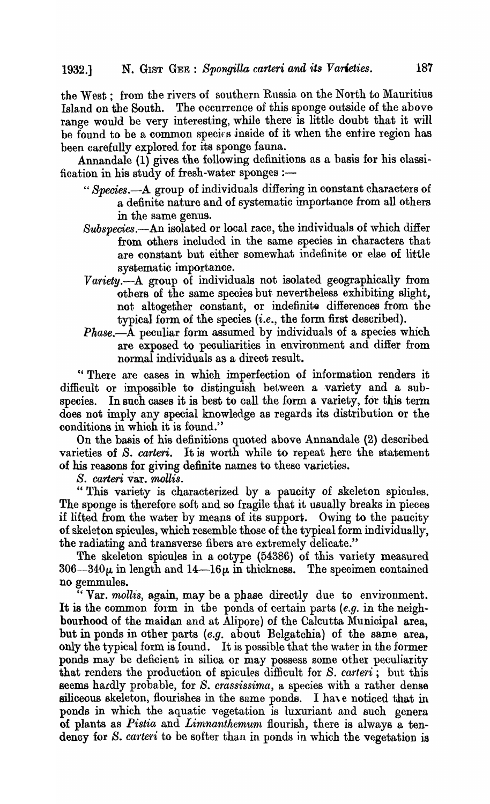the West; from the rivers of southern Russia on the North to Mauritius Island on the South. The occurrence of this sponge outside of the above range would be very interesting, while there is little doubt that it will be found to be a common species inside of it when the entire region has been carefully explored for its sponge fauna.

Annandale (1) gives the following definitions as a basis for his classification in his study of fresh-water sponges :-

- *"Species.-A* group of individuals differing in constant characters of a definite nature and of systematio importance from all others in the same genus.
- *Subspecies.-An* isolated or local race, the individuals of which differ from others included in the same speoies in characters that are constant but either somewhat indefinite or else of little systematic importance.
- *Variety.-A* group of individuals not isolated geographically from others of the same species but nevertheless exhibiting slight, not altogether constant, or indefinite differences from the typical form of the species (i.e., the form first described).
- *Phase.-A* peculiar form assumed by individuals of a species which are exposed to peouliarities in environment and difier from normal individuals as a direct result.

"There are cases in which imperfection of information renders it difficult or impossible to distinguish between a variety and a subspecies. In such cases it is best to call the form a variety, for this term does not imply any special knowledge as regards its distribution or the conditions in which it is found."

On the basis of his definitions quoted above Annandale (2) described varieties of *S. carteri*. It is worth while to repeat here the statement of his reasons for giving definite names to these varieties.

*S. carteri* var. *mollis.* 

"This variety is characterized by a paucity of skeleton spicules. The sponge is therefore soft and so fragile that it usually breaks in pieces if lifted from the water by means of its support. Owing to the paucity of skeleton spicules, which resemble those of the typical form individually, the radiating and transverse fibers are extremely delicate."

The skeleton spicules in a cotype (54386) of this variety measured  $306-340\mu$  in length and  $14-16\mu$  in thickness. The specimen contained no gemmules.

" Var. *mollis*, again, may be a phase directly due to environment. It is the common form in the ponds of certain parts (e.g. in the neighbourhood of the maidan and at Alipore) of the Calcutta Municipal ares, but in ponds in other parts  $(e.g.$  about Belgatchia) of the same area, only the typical form is found. It is possible that the water in the former ponds may be deficient in silica or may possess some other peculiarity that renders the production of spicules difficult for *S. carteri*; but this seems hardly probable, for *S. crassissima*, a species with a rather dense siliceous skeleton, flourishes in the same ponds. I have noticed that in ponds in which the aquatic vegetation is luxuriant and such genera of plants as *Pistia* and *Limnanthemum* flourish, there is always a tendency for *S. carteri* to be softer than in ponds in which the vegetation is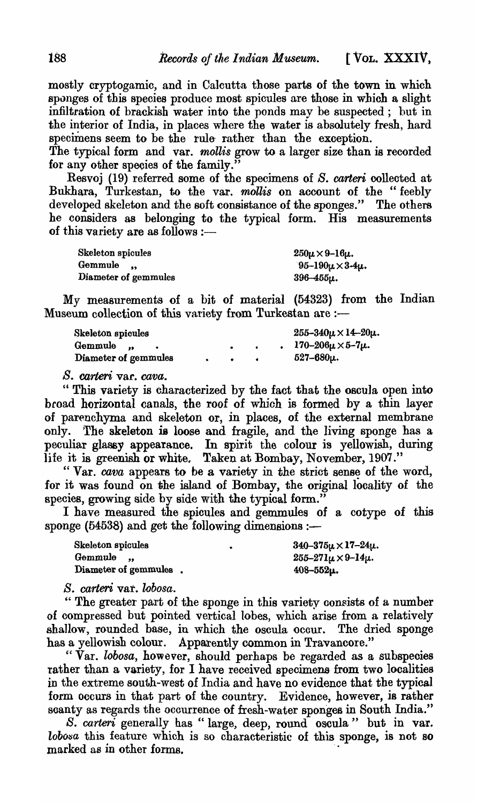mostly cryptogamic, and in Ca1cutta those parts of the town in which sponges of this species produce most spicules are those in which a slight infiltration of brackish water into the ponds may be suspected; hut in the interior of India, in places where the water is absolutely fresh, hard specimens seem to be the rule- rather than the exception.

The typical form and var. *mollis* grow to a larger size than is recorded for any other species of the family\_"

Resvoj (19) referred some of the specimens of *S. carteri* collected at Bukhara, Turkestan, to the var. *mollis* on account of the "feebly developed skeleton and the soft consistance of the sponges." The others he considers as belonging to the typical form. His measurements of this variety are as follows  $:$ --

| Skeleton spicules    | $250\mu \times 9 - 16\mu$ .   |
|----------------------|-------------------------------|
| Gemmule              | $95 - 190\mu \times 3 - 4\mu$ |
| Diameter of gemmules | $396 - 455\mu$ .              |

My measurements of a bit of material (54323) from the Indian Museum collection of this variety from Turkestan are :-

| Skeleton spicules    |  |  | $255 - 340\mu \times 14 - 20\mu$ . |
|----------------------|--|--|------------------------------------|
| Gemmule<br>$\bullet$ |  |  | $170 - 206\mu \times 5 - 7\mu$ .   |
| Diameter of gemmules |  |  | $527 - 680 \mu$ .                  |

*S. carteri* vat. *cava.* 

" This variety is characterized by the fact that the oscula open into broad horizontal canals, the roof of which is formed by a thin layer of parenchyma and skeleton or, in places, of the external membrane only. The skeleton is loose and fragile, and the living sponge has a peculiar glassy appearance. In spirit the colour is yellowish, during life it is greenish or white. Taken at Bombay, November, 1907."

" Var. *cava* appears to be a variety in the strict sense of the word, for it was found on the island of Bombay, the original locality of the species, growing side by side with the typical form."

I have measured the spicules and gemmules of a cotype of this sponge ( $54538$ ) and get the following dimensions :-

| Skeleton spicules     | $340 - 375\mu \times 17 - 24\mu$ . |
|-----------------------|------------------------------------|
| Gemmule               | $255 - 271\mu \times 9 - 14\mu$ .  |
| Diameter of gemmules. | $408 - 552\mu$ .                   |

*B. carteri* vat. *lobosa.* 

" The greater part of the sponge in this variety consists of a number of compressed but pointed vertical lobes, which arise from a relatively shallow, rounded base, in which the oscula ocour. The dried sponge has a yellowish colour. Apparently common in Travancore."

"Var. *lobosa,* however, should perhaps be regarded as a subspeoies rather than a variety, for I have received specimens from two localities in the extreme south-west of India and have no evidence that the typical form occurs in that part of the country. Evidence, however, is rather soanty as regards the ocourrence of fresh-water sponges in South India."

*S. carteri* generally has" large, deep, round oscula" but in var.  $lobosa$  this feature which is so characteristic of this sponge, is not so marked as in other forms.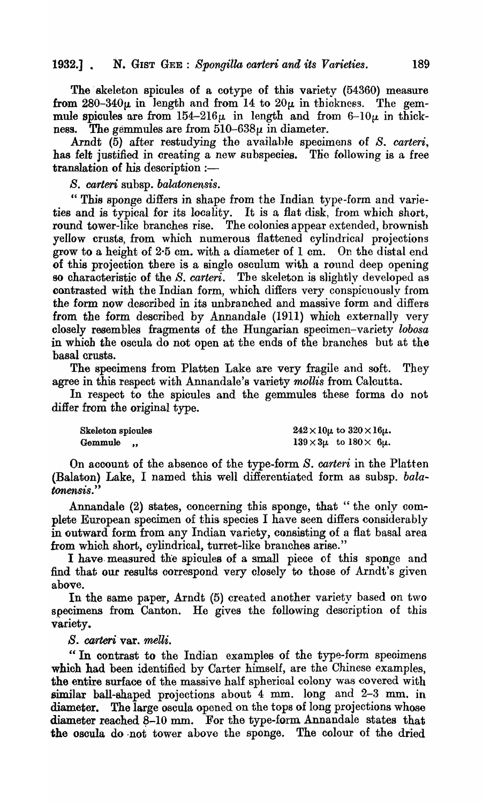The skeleton spicules of a cotype of this variety (54360) measure from  $280-340\mu$  in length and from 14 to  $20\mu$  in thickness. The gemmule spicules are from  $154-216\mu$  in length and from  $6-10\mu$  in thickness. The gemmules are from  $510-638\mu$  in diameter.

Arndt (5) after restudying the available specimens of *S. carteri*, has felt justified in creating a new subspecies. The following is a free  $translation$  of his description  $:$ —

*B. carten* subsp. *balatonensis.* 

" This sponge differs in shape from the Indian type-form and varieties and is typical for its locality. It is a flat disk, from which short, round tower-like branches rise. The colonies appear extended, brownish yellow crusts, from which numerous flattened cylindrical projections grow to a height of 2·5 cm. with a diameter of I cm. On the distal end of this projeotion there is a single osculum with a round deep opening so characteristic of the *S. carteri*. The skeleton is slightly developed as contrasted with the Indian form, which differs very conspicuously from the form now described in its unbranched and massive form and differs from the form described by Annandale (1911) which externally very closely resembles fragments of the Hungarian specimen-variety *lobosa*  in which the osoula do not open at the ends of the branches but at the basal crusts.

The specimens from Platten Lake are very fragile and soft. They agree in this respect with Annandale's variety *mollis* from Calcutta.

In respect to the spicules and the gemmules these forms do not differ from the original type.

Skeleton spicules Gemmule,

 $242 \times 10\mu$  to  $320 \times 16\mu$ .  $139 \times 3\mu$  to  $180 \times 6\mu$ .

On account of the absence of the type-form *S. carteri* in the Platten (Balaton) Lake, I named this well difierentiated form as subsp. *balatonensis.* "

Annandale  $(2)$  states, concerning this sponge, that "the only complete European specimen of this species I have seen differs considerably in outward form from any Indian variety, consisting of a flat basal area from which short, cylindrical, turret-like branches arise."

I have. measured the spicules of a small piece of this sponge and find that our results correspond very closely to those of Arndt's given above.

In the same paper, Arndt (5) created another variety based on two specimens from Canton. He gives the following description of this variety.

*S.* carteri·var. *melli.* 

"In contrast to the Indian. examples of the type-form speoimens which had been identified by Carter himself, are the Chinese examples, the entire surface of the massive half spherioal colony was covered with similar ball-shaped projections about 4 mm. long and 2-3 mm. in diameter. The large oscula opened on the tops of long projections whose diameter reached  $8-10$  mm. For the type-form Annandale states that the oscula do ·not tower above the sponge. The colour of the dried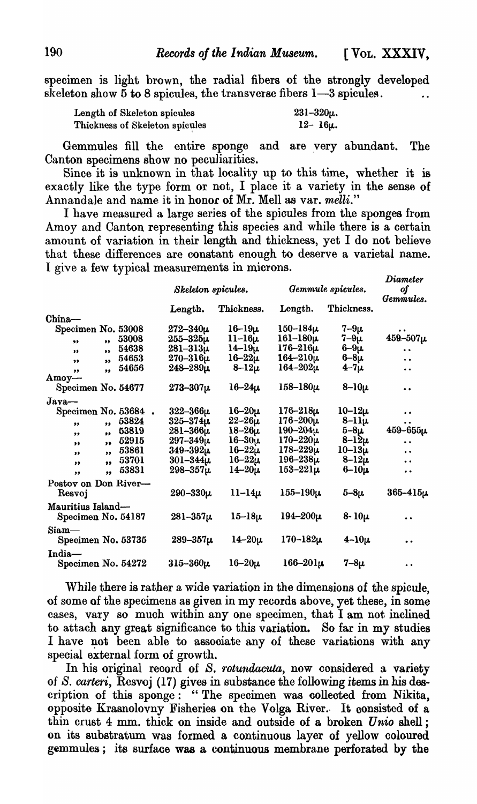specimen is light brown, the radial fibers of the strongly developed skeleton show  $5$  to 8 spicules, the transverse fibers  $1-3$  spicules.

| Length of Skeleton spicules    | $231 - 320\mu$ . |
|--------------------------------|------------------|
| Thickness of Skeleton spicules | $12 - 16\mu$ .   |

Gemmules fill the entire sponge and are very abundant. The Canton specimens show no peculiarities.

Since it is unknown in that locality up to this time, whether it is exactly like the type form or not, I place it a variety in the sense of Annandale and name it in honor of Mr. Mell as var. *melli."* 

I have measured a large series of the spioules from the sponges from Amoy and Canton representing this species and while there is a certain amount of variation in their length and thickness, yet I do not believe that these differences are constant enough to deserve a varietal name. I give a few typical measurements in microns.

|                         |                          | Skeleton spicules. |                 | Gemmule spicules. |                      |  |
|-------------------------|--------------------------|--------------------|-----------------|-------------------|----------------------|--|
|                         | Length.                  | Thickness.         | Length.         | Thickness.        | Gemmules.            |  |
| China-                  |                          |                    |                 |                   |                      |  |
| Specimen No. 53008      | $272 - 340 \mu$          | $16 - 19\mu$       | $150 - 184 \mu$ | $7 - 9\mu$        |                      |  |
| $\bullet$<br>99         | 53008<br>$255 - 325 \mu$ | $11-16\mu$         | $161 - 180 \mu$ | $7-9\mu$          | $459 - 507 \mu$      |  |
| ,<br>,,                 | 54638<br>$281 - 313\mu$  | $14 - 19 \mu$      | $176 - 216 \mu$ | $6-9\mu$          | $\ddot{\phantom{0}}$ |  |
| $\bullet$<br>$\bullet$  | $270 - 316 \mu$<br>54653 | $16 - 22\mu$       | $164 - 210 \mu$ | $6 - 8\mu$        | $\ddot{\phantom{0}}$ |  |
| $\bullet$<br>,,         | 54656<br>$248 - 289\mu$  | $8-12\mu$          | $164 - 202\mu$  | $4 - 7 \mu$       | $\bullet$            |  |
| $Amov-$                 |                          |                    |                 |                   |                      |  |
| Specimen No. 54677      | $273 - 307 \mu$          | $16 - 24\mu$       | $158 - 180 \mu$ | $8-10\mu$         | $\bullet$            |  |
| $Java$ —                |                          |                    |                 |                   |                      |  |
| Specimen No. 53684.     | $322 - 366\mu$           | $16 - 20 \mu$      | $176 - 218\mu$  | $10-12\mu$        | $\bullet$            |  |
| $\bullet$<br>,,         | 53824<br>325–374µ        | $22 - 26\mu$       | $176 - 200 \mu$ | $8-11\mu$         | $\bullet$            |  |
| $\bullet$<br>,,         | 53819<br>$281 - 366 \mu$ | $18 - 26 \mu$      | $190 - 204\mu$  | $5 - 8\mu$        | $459 - 655 \mu$      |  |
| $^{\prime\prime}$<br>,, | 52915<br>297–349µ        | $16 - 30 \mu$      | $170 - 220 \mu$ | $8 - 12\mu$       | $\ddot{\phantom{a}}$ |  |
| $\bullet\bullet$<br>,,  | 53861<br>$349 - 392 \mu$ | $16 - 22\mu$       | $178 - 229\mu$  | $10-13\mu$        | $\ddot{\phantom{0}}$ |  |
| ,<br>,,                 | $301 - 344 \mu$<br>53701 | $16 - 22 \mu$      | $196 - 238 \mu$ | $8-12\mu$         | $\ddot{\phantom{0}}$ |  |
| $\bullet$<br>,,         | 53831<br>$298 - 357\mu$  | $14 - 20\mu$       | $153 - 221\mu$  | $6-10\mu$         | $\bullet$            |  |
| Postov on Don River-    |                          |                    |                 |                   |                      |  |
| Resvoj                  | $290 - 330 \mu$          | $11-14\mu$         | $155 - 190 \mu$ | $5 - 8\mu$        | $365 - 415 \mu$      |  |
| Mauritius Island-       |                          |                    |                 |                   |                      |  |
| Specimen No. 54187      | $281 - 357 \mu$          | $15-18\mu$         | $194 - 200 \mu$ | $8 - 10\mu$       | $\ddot{\phantom{0}}$ |  |
| $Siam$ —                |                          |                    |                 |                   |                      |  |
| Specimen No. 53735      | $289 - 357 \mu$          | $14 - 20\mu$       | $170 - 182 \mu$ | $4-10\mu$         | $\ddot{\phantom{0}}$ |  |
| India-                  |                          |                    |                 |                   |                      |  |
| Specimen No. 54272      | $315 - 360 \mu$          | $16 - 20\mu$       | $166 - 201\mu$  | $7 - 8\mu$        | $\ddot{\phantom{a}}$ |  |

'Vhile there is rather a wide variation in the dimensions of the spicule, of some of the specimens as given in my records above, yet these, in some cases, vary so much within anyone specimen, that I am not inclined to attach any great significance to this variation. So far in my studies I have not been able to associate any of these variations with any special external form of growth.

In his original record of *S. rotundacuta*, now considered a variety of S. *carteri,* Resvoj (17) gives in substance the following items in his description of this sponge: "The specimen was oollected from Nikita, opposite Krasnolovny Fisheries on the Volga River. It consisted of a thin crust 4 mm. thick on inside and outside of a broken *U nio* shell ; on its substratum was formed a continuous layer of yellow coloured gemmules; its surfaoe was a continuous membrane perforated by the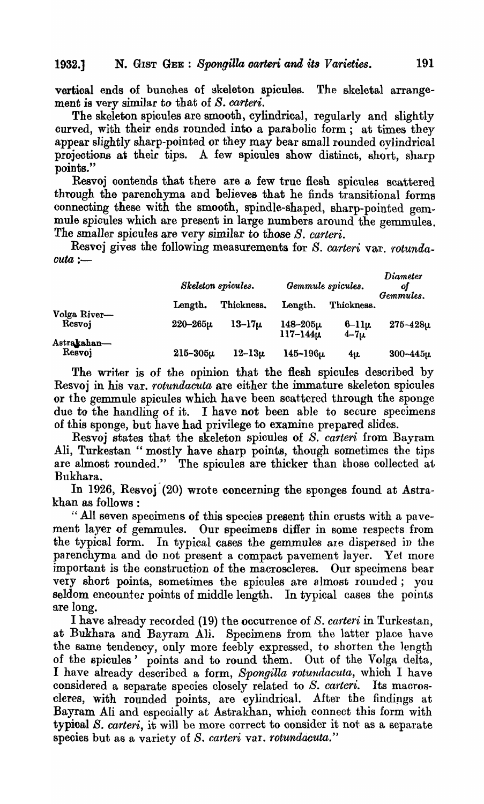vertioal ends of bunohes of skeleton spicules. The skeletal arrangement is very similar to that of *S. carteri*.

The skeleton spicules are smooth, cylindrical, regularly and slightly curved, with their ends rounded into a parabolic form; at times they appear slightly sharp-pointed or they may bear small rounded ovlindrical projections at their tips. A few spicules show distinct, short, sharp points."

Resvoj contends that there are a few true flesb. spicules scattered through the parenchyma and believes that he finds transitional forms connecting these with the smooth, spindle-shaped, sharp-pointed gemmule spicules which are present in large numbers around the gemmules. The smaller spicules are very similar to those *S. carteri.* 

Resvoj gives the following measurements for *S. carteri var. rotunda* $cuta :=$ 

|                       |                | Skeleton spicules. | Gemmule spicules.                 | <i>Diameter</i><br>оf<br>Gemmules. |                |
|-----------------------|----------------|--------------------|-----------------------------------|------------------------------------|----------------|
| Volga River-          | Length.        | Thickness.         | Length.                           | Thickness.                         |                |
| Resvoj                | $220 - 265\mu$ | $13 - 17\mu$       | $148 - 205\mu$<br>$117 - 144 \mu$ | $6-11\mu$<br>$4 - 7\mu$            | $275 - 428\mu$ |
| Astrakahan—<br>Resvoj | $215 - 305\mu$ | $12 - 13\mu$       | $145 - 196 \mu$                   | $4\mu$                             | $300 - 445\mu$ |

The writer is of the opinion that the flesh spicules described by Resvoj in his var. *rotundacuta* are either the immature skeleton spicules or the gemmule spicules which have been scattered through the sponge due to the handling of it. I have not been able to secure specimens of this sponge, but have had privilege to examine prepared slides.

Resvoj states that the skeleton spicules of S. *carteri* from Bayram Ali, Turkestan " mostly have sharp points, though sometimes the tips are almost rounded." The spicules are thicker than those collected at Bukhara.

In 1926, Resvoj<sup>(20)</sup> wrote concerning the sponges found at Astrakhan as follows :

" All seven specimens of this species present thin crusts with a pavement layer of gemmules. Our specimens differ in some respects from the typical form. In typical cases the gemmules are dispersed in the parenchyma and do not present a compact pavement layer. Ye1 more important is the construction of the macroscleres. Our specimens bear very short points, sometimes the spicules are 81most rounded; you seldom encounter points of middle length. In typical cases the points are long.

I have already reeorded (19) the occurrence of *S. carteri* in Turkestan, at Bukhara and Bayram Ali. Specimens from the latter place have the same tendency, only more feebly expressed, to shorten the length of the spicules' points and to round them. Out of the Volga delta, I have already described a form, *Spongilla rotundacuta,* which I have considered a separate species closely related to *S. carteri.* Its macroscleres, with rounded points, are cylindrical. After the findipgs at Bayram Ali and especially at Astrakhan, which connect this form with typical S. *carteri*, it will be more correct to consider it not as a separate species but as a variety of *S. carteri var. rotundacuta.*"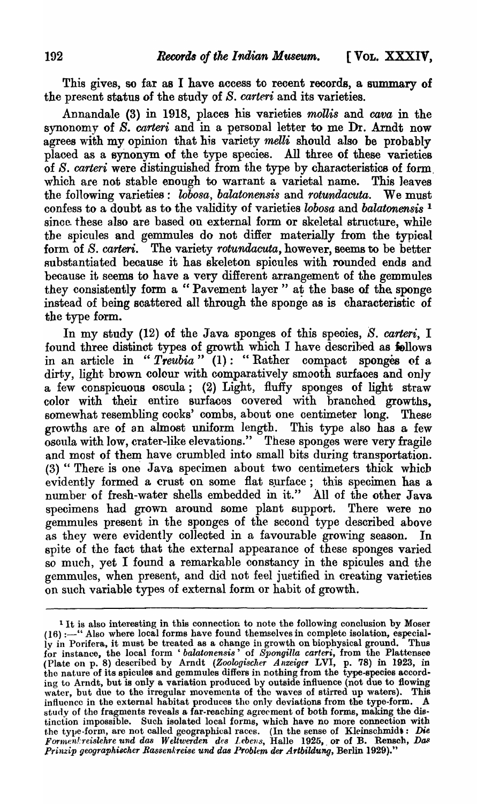This gives, so far as I have access to recent records, a summary of the present status of the study of S. *carteri* and its varieties.

Annandale (3) in 1918, places his varieties *mollis* and *cava* in the synonomy of B. *carteri* and in a personal letter to me Dr. Arndt now agrees with my opinion that his variety *melli* should also be probably plaoed as a synonym of the type species. All three of these varieties of S. *carteri* were distinguished from the type by characteristics of form, which are not stable enough to warrant a varietal name. This leaves the following varieties: *lobosa, balatonensis* and *rotundacuta.* We must confess to a doubt as to the validity of varieties *lobosa* and *balatonensis* <sup>1</sup> since these also are based on external form or skeletal structure, while the spicules and gemmules do not differ materially from the typical form of S. *carteri.* The variety *rotundacuta*, however, seems to be better substantiated because it has skeleton spicules with rounded ends and because it seems to have a very different arrangement of the gemmules they consistently form a "Pavement layer" at the base of the sponge instead of being scattered all through the sponge as is characteristic of the type form.

In my study (12) of the Java sponges of this species, S. *carteri,* I found three distinct types of growth which I have described as follows in an article in *"Treubia"* (1): "Rather compact sponges of a dirty, light brown colour with comparatively smooth surfaces and only a few conspicuous oscula; (2) Light, fluffy sponges of light straw color with their entire surfaces covered with branched growths, somewhat resembling cocks' combs, about one centimeter long. These growths are of an almost uniform length. This type also has a few oscula with low, crater-like elevations." These sponges were very fragile and most of them have crumbled into small bits during transportation.  $(3)$  "There is one Java specimen about two centimeters thick which evidently formed a crust on some flat surface; this specimen has a number of fresh-water shells embedded in it." All of the other Java specimens had grown around some plant support. There were no gemmules present in the sponges of the second type described above as they were evidently collected in a favourable growing season. In spite of the fact that the external appearance of these sponges varied so much, yet I found a remarkable constancy in the spioules and the gemmules, when present, and did not feel juetified in creating varieties on such variable types of external form or habit of growth.

<sup>&</sup>lt;sup>1</sup> It is also interesting in this connection to note the following conclusion by Moser (16) :--" Also where local forms have found themselves in complete isolation, especial-<br>ly in Porifera, it must be treated as a change in growth on biophysical ground. Thus ly in Porifera, it must be treated as a change in growth on biophysical ground. Thus for instance, the local form 'balatonensis' of *Spongilla carteri*, from the Plattensee (Plate 011 p. 8) described by Arndt *(Zoologischer Anzeige,* LVI, p. 78) in 1923, in the nature of its spicules and gemmules differs in nothing from the type-species according to Arndt, but is only a variation produced by outside influence (not due to flowing water, but due to the irregular movements of the waves of stirred up waters). This influence in the external habitat produces the only deviations from the type-form. A study of the fragments reveals a far-reaching agreement of both forms, making the distinction impossible. Such isolated local forms, which have no more connection with the type-form, are not called geographical races. (In the sense of Kleinschmidt: Die *Formen!:reislehre und das Weltwerden des Lebens*, Halle 1925, or of B. Rensch, Das *Prinzip geographischcr Rassenkrei8e* 'Una *das Problem der Artbildung,* Berlin 1929)."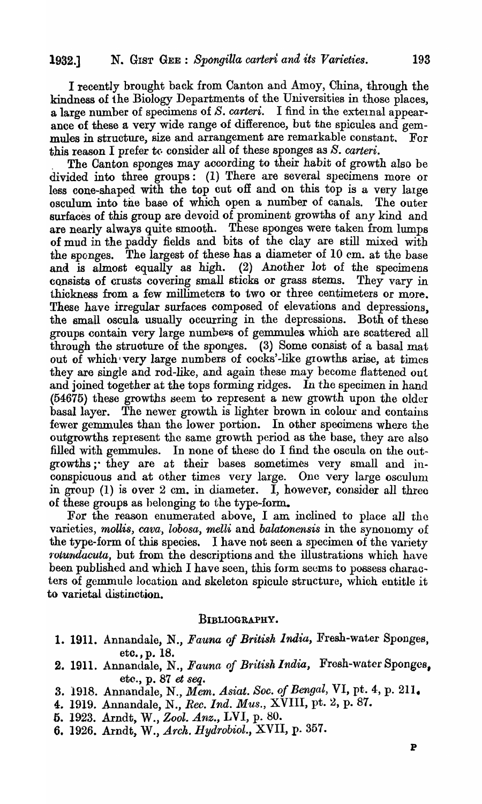I recently brought back from Canton and Amoy, China, through the kindness of the Biology Departments of the Universities in those places, a large number of specimens of *S. carteri*. I find in the external appearance of these a very wide range of difference, but the spicules and gemmules in structure, size and arrangement are remarkable constant. For this reason I prefer to consider all of these sponges as *S. carteri*.

. The Canton sponges may according to their habit of growth also be divided into three groups: (1) There are several specimens more or less cone-shaped with the top cut off and on this top is a very large osculum into tne base of which open a number of canals. The outer surfaces of this group are devoid of prominent growths of any kind and are nearly always quite smooth. These sponges were taken from lumps of mud in the paddy fields and bits of the clay are still mixed with the sponges. The largest of these has a diameter of 10 em. at the base and is almost equally as high. (2) Another lot of the specimens consists of crusts covering small sticks or grass stems. They vary in thiokness from a few millimeters to two or three centimeters or more. These have irregular surfaces composed of elevations and depressions, the small oscula usually occurring in the depressions. Both of these groups contain very large numbers of gemmules which are scattered all through the struoture of the sponges. (3) Some consist of a basal mat out of which very large numbers of cocks'-like growths arise, at times they are single and rod-like, and again these may become flattened out and joined together at the tops forming ridges. In the specimen in hand (54675) these growths seem to represent a new growth upon the older basal layer. The newer growth is lighter brown in colour and contains fewer gemmules than the lower portion. In other specimens where the outgrowths represent the same growth period as the base, they are also filled with gemmules. In none of these do I find the oscula on the outgrowths;" they are at their bases sometimes very small and inconspicuous and at other times very large. One very large osculum in group  $(1)$  is over 2 cm, in diameter. I, however, consider all three of these groups as helonging to the type-form.

For the reason enumerated above, I am inclined to place all the varieties, *mollis, cava, lobosa, melli* and *balatonensis* in the synonomy of the type-form of this species. I have not seen a specimen of the variety *rotundacuta*, but from the descriptions and the illustrations which have been published and which I have seen, this form seems to possess characters of gemmule location and skeleton spicule structure, which entitle it to varietal distinction.

## BIBLIOGRAPHY.

- 1. 1911. Annandale, N., *Fauna of British India,* Fresh-water Sponges, etc., p. 18.
- 2. 1911. Annandale, N., *Fauna of British India*, Fresh-water Sponges, etc., p. 87 et *seq.*
- 3. 1918. Annandale, N., *Mem. Asiat. Soc. of Bengal,* VI, pt. 4, p. 211.
- 4. 1919. Annandale, N., *Rec. Ind. Mus.*, XVIII, pt. 2, p. 87.
- 6. 1923. Arndt, W., *Zool. Anz.,* LVI, p. 80.
- 6. 1926. Arndt, W., *Arch. Hydrobiol.,* XVII, p. 357.